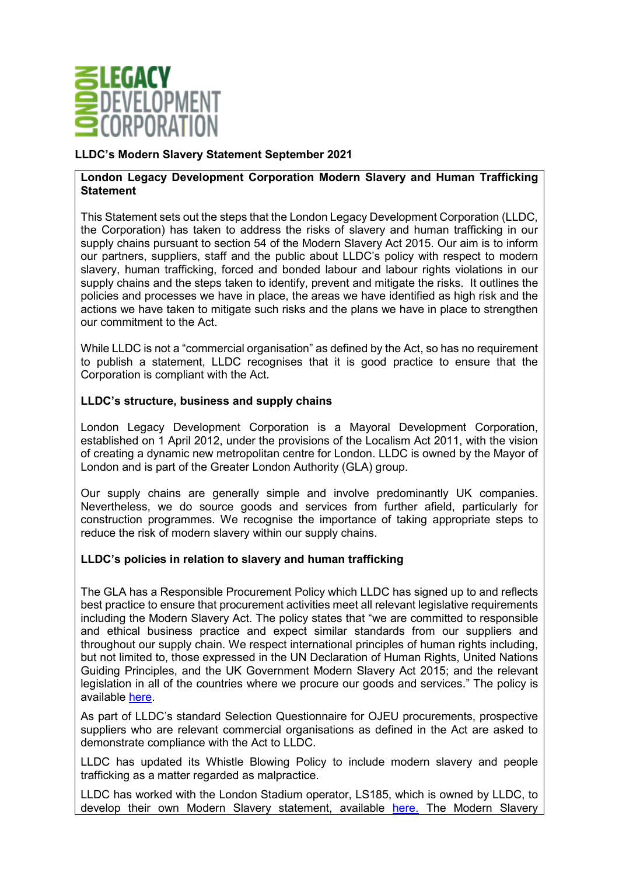

## **LLDC's Modern Slavery Statement September 2021**

## **London Legacy Development Corporation Modern Slavery and Human Trafficking Statement**

This Statement sets out the steps that the London Legacy Development Corporation (LLDC, the Corporation) has taken to address the risks of slavery and human trafficking in our supply chains pursuant to section 54 of the Modern Slavery Act 2015. Our aim is to inform our partners, suppliers, staff and the public about LLDC's policy with respect to modern slavery, human trafficking, forced and bonded labour and labour rights violations in our supply chains and the steps taken to identify, prevent and mitigate the risks. It outlines the policies and processes we have in place, the areas we have identified as high risk and the actions we have taken to mitigate such risks and the plans we have in place to strengthen our commitment to the Act.

While LLDC is not a "commercial organisation" as defined by the Act, so has no requirement to publish a statement, LLDC recognises that it is good practice to ensure that the Corporation is compliant with the Act.

## **LLDC's structure, business and supply chains**

London Legacy Development Corporation is a Mayoral Development Corporation, established on 1 April 2012, under the provisions of the Localism Act 2011, with the vision of creating a dynamic new metropolitan centre for London. LLDC is owned by the Mayor of London and is part of the Greater London Authority (GLA) group.

Our supply chains are generally simple and involve predominantly UK companies. Nevertheless, we do source goods and services from further afield, particularly for construction programmes. We recognise the importance of taking appropriate steps to reduce the risk of modern slavery within our supply chains.

## **LLDC's policies in relation to slavery and human trafficking**

The GLA has a Responsible Procurement Policy which LLDC has signed up to and reflects best practice to ensure that procurement activities meet all relevant legislative requirements including the Modern Slavery Act. The policy states that "we are committed to responsible and ethical business practice and expect similar standards from our suppliers and throughout our supply chain. We respect international principles of human rights including, but not limited to, those expressed in the UN Declaration of Human Rights, United Nations Guiding Principles, and the UK Government Modern Slavery Act 2015; and the relevant legislation in all of the countries where we procure our goods and services." The policy is available [here.](https://www.london.gov.uk/sites/default/files/gla_group_responsible_procurement_policy_2021.pdf)

As part of LLDC's standard Selection Questionnaire for OJEU procurements, prospective suppliers who are relevant commercial organisations as defined in the Act are asked to demonstrate compliance with the Act to LLDC.

LLDC has updated its Whistle Blowing Policy to include modern slavery and people trafficking as a matter regarded as malpractice.

LLDC has worked with the London Stadium operator, LS185, which is owned by LLDC, to develop their own Modern Slavery statement, available [here.](https://www.london-stadium.com/modern-slavery.html) The Modern Slavery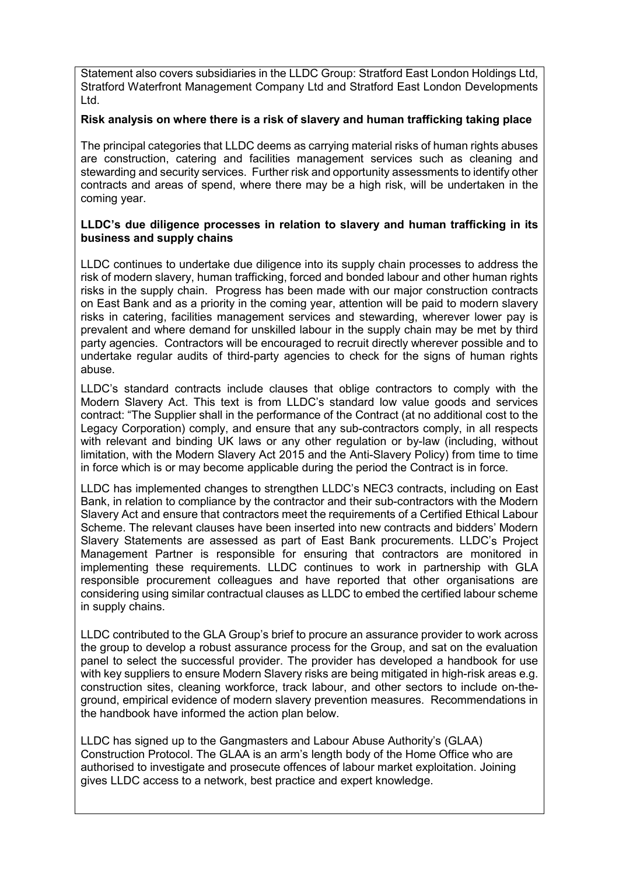Statement also covers subsidiaries in the LLDC Group: Stratford East London Holdings Ltd, Stratford Waterfront Management Company Ltd and Stratford East London Developments Ltd.

### **Risk analysis on where there is a risk of slavery and human trafficking taking place**

The principal categories that LLDC deems as carrying material risks of human rights abuses are construction, catering and facilities management services such as cleaning and stewarding and security services. Further risk and opportunity assessments to identify other contracts and areas of spend, where there may be a high risk, will be undertaken in the coming year.

#### **LLDC's due diligence processes in relation to slavery and human trafficking in its business and supply chains**

LLDC continues to undertake due diligence into its supply chain processes to address the risk of modern slavery, human trafficking, forced and bonded labour and other human rights risks in the supply chain. Progress has been made with our major construction contracts on East Bank and as a priority in the coming year, attention will be paid to modern slavery risks in catering, facilities management services and stewarding, wherever lower pay is prevalent and where demand for unskilled labour in the supply chain may be met by third party agencies. Contractors will be encouraged to recruit directly wherever possible and to undertake regular audits of third-party agencies to check for the signs of human rights abuse.

LLDC's standard contracts include clauses that oblige contractors to comply with the Modern Slavery Act. This text is from LLDC's standard low value goods and services contract: "The Supplier shall in the performance of the Contract (at no additional cost to the Legacy Corporation) comply, and ensure that any sub-contractors comply, in all respects with relevant and binding UK laws or any other regulation or by-law (including, without limitation, with the Modern Slavery Act 2015 and the Anti-Slavery Policy) from time to time in force which is or may become applicable during the period the Contract is in force.

LLDC has implemented changes to strengthen LLDC's NEC3 contracts, including on East Bank, in relation to compliance by the contractor and their sub-contractors with the Modern Slavery Act and ensure that contractors meet the requirements of a Certified Ethical Labour Scheme. The relevant clauses have been inserted into new contracts and bidders' Modern Slavery Statements are assessed as part of East Bank procurements. LLDC's Project Management Partner is responsible for ensuring that contractors are monitored in implementing these requirements. LLDC continues to work in partnership with GLA responsible procurement colleagues and have reported that other organisations are considering using similar contractual clauses as LLDC to embed the certified labour scheme in supply chains.

LLDC contributed to the GLA Group's brief to procure an assurance provider to work across the group to develop a robust assurance process for the Group, and sat on the evaluation panel to select the successful provider. The provider has developed a handbook for use with key suppliers to ensure Modern Slavery risks are being mitigated in high-risk areas e.g. construction sites, cleaning workforce, track labour, and other sectors to include on-theground, empirical evidence of modern slavery prevention measures. Recommendations in the handbook have informed the action plan below.

LLDC has signed up to the Gangmasters and Labour Abuse Authority's (GLAA) Construction Protocol. The GLAA is an arm's length body of the Home Office who are authorised to investigate and prosecute offences of labour market exploitation. Joining gives LLDC access to a network, best practice and expert knowledge.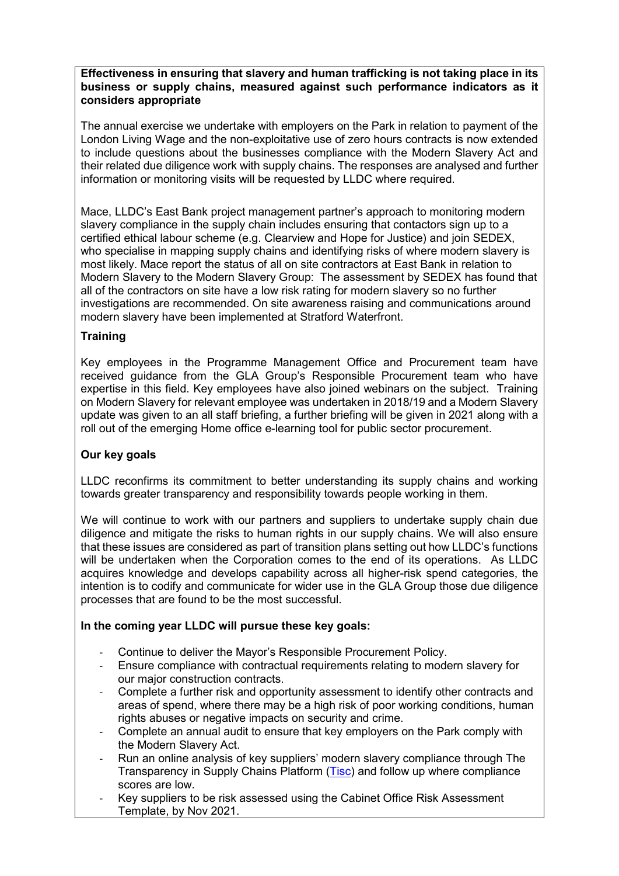### **Effectiveness in ensuring that slavery and human trafficking is not taking place in its business or supply chains, measured against such performance indicators as it considers appropriate**

The annual exercise we undertake with employers on the Park in relation to payment of the London Living Wage and the non-exploitative use of zero hours contracts is now extended to include questions about the businesses compliance with the Modern Slavery Act and their related due diligence work with supply chains. The responses are analysed and further information or monitoring visits will be requested by LLDC where required.

Mace, LLDC's East Bank project management partner's approach to monitoring modern slavery compliance in the supply chain includes ensuring that contactors sign up to a certified ethical labour scheme (e.g. Clearview and Hope for Justice) and join SEDEX, who specialise in mapping supply chains and identifying risks of where modern slavery is most likely. Mace report the status of all on site contractors at East Bank in relation to Modern Slavery to the Modern Slavery Group: The assessment by SEDEX has found that all of the contractors on site have a low risk rating for modern slavery so no further investigations are recommended. On site awareness raising and communications around modern slavery have been implemented at Stratford Waterfront.

## **Training**

Key employees in the Programme Management Office and Procurement team have received guidance from the GLA Group's Responsible Procurement team who have expertise in this field. Key employees have also joined webinars on the subject. Training on Modern Slavery for relevant employee was undertaken in 2018/19 and a Modern Slavery update was given to an all staff briefing, a further briefing will be given in 2021 along with a roll out of the emerging Home office e-learning tool for public sector procurement.

# **Our key goals**

LLDC reconfirms its commitment to better understanding its supply chains and working towards greater transparency and responsibility towards people working in them.

We will continue to work with our partners and suppliers to undertake supply chain due diligence and mitigate the risks to human rights in our supply chains. We will also ensure that these issues are considered as part of transition plans setting out how LLDC's functions will be undertaken when the Corporation comes to the end of its operations. As LLDC acquires knowledge and develops capability across all higher-risk spend categories, the intention is to codify and communicate for wider use in the GLA Group those due diligence processes that are found to be the most successful.

## **In the coming year LLDC will pursue these key goals:**

- Continue to deliver the Mayor's Responsible Procurement Policy.
- Ensure compliance with contractual requirements relating to modern slavery for our major construction contracts.
- Complete a further risk and opportunity assessment to identify other contracts and areas of spend, where there may be a high risk of poor working conditions, human rights abuses or negative impacts on security and crime.
- Complete an annual audit to ensure that key employers on the Park comply with the Modern Slavery Act.
- Run an online analysis of key suppliers' modern slavery compliance through The Transparency in Supply Chains Platform [\(Tisc\)](https://tiscreport.org/) and follow up where compliance scores are low.
- Key suppliers to be risk assessed using the Cabinet Office Risk Assessment Template, by Nov 2021.